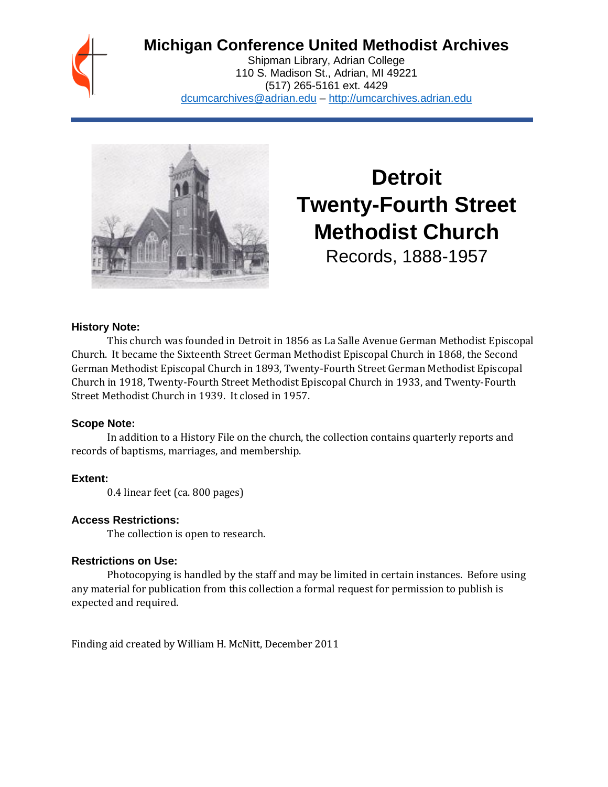

# **Michigan Conference United Methodist Archives**

Shipman Library, Adrian College 110 S. Madison St., Adrian, MI 49221 (517) 265-5161 ext. 4429 [dcumcarchives@adrian.edu](mailto:dcumcarchives@adrian.edu) – [http://umcarchives.adrian.edu](http://umcarchives.adrian.edu/)



# **Detroit Twenty-Fourth Street Methodist Church**

Records, 1888-1957

#### **History Note:**

This church was founded in Detroit in 1856 as La Salle Avenue German Methodist Episcopal Church. It became the Sixteenth Street German Methodist Episcopal Church in 1868, the Second German Methodist Episcopal Church in 1893, Twenty-Fourth Street German Methodist Episcopal Church in 1918, Twenty-Fourth Street Methodist Episcopal Church in 1933, and Twenty-Fourth Street Methodist Church in 1939. It closed in 1957.

#### **Scope Note:**

In addition to a History File on the church, the collection contains quarterly reports and records of baptisms, marriages, and membership.

#### **Extent:**

0.4 linear feet (ca. 800 pages)

#### **Access Restrictions:**

The collection is open to research.

#### **Restrictions on Use:**

Photocopying is handled by the staff and may be limited in certain instances. Before using any material for publication from this collection a formal request for permission to publish is expected and required.

Finding aid created by William H. McNitt, December 2011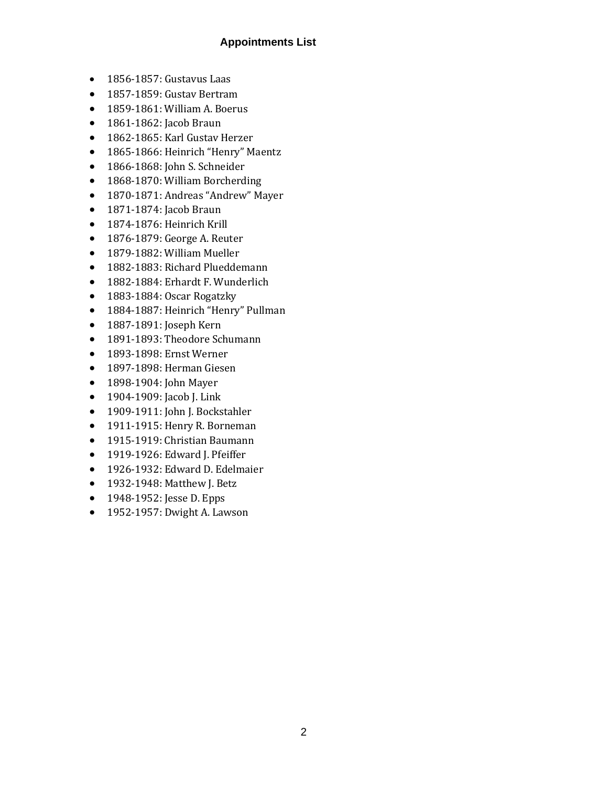### **Appointments List**

- 1856-1857: Gustavus Laas
- 1857-1859: Gustav Bertram
- 1859-1861: William A. Boerus
- 1861-1862: Jacob Braun
- 1862-1865: Karl Gustav Herzer
- 1865-1866: Heinrich "Henry" Maentz
- 1866-1868: John S. Schneider
- 1868-1870: William Borcherding
- 1870-1871: Andreas "Andrew" Mayer
- 1871-1874: Jacob Braun
- 1874-1876: Heinrich Krill
- 1876-1879: George A. Reuter
- 1879-1882: William Mueller
- 1882-1883: Richard Plueddemann
- 1882-1884: Erhardt F. Wunderlich
- 1883-1884: Oscar Rogatzky
- 1884-1887: Heinrich "Henry" Pullman
- 1887-1891: Joseph Kern
- 1891-1893: Theodore Schumann
- 1893-1898: Ernst Werner
- 1897-1898: Herman Giesen
- 1898-1904: John Mayer
- 1904-1909: Jacob J. Link
- 1909-1911: John J. Bockstahler
- 1911-1915: Henry R. Borneman
- 1915-1919: Christian Baumann
- 1919-1926: Edward J. Pfeiffer
- 1926-1932: Edward D. Edelmaier
- 1932-1948: Matthew J. Betz
- 1948-1952: Jesse D. Epps
- 1952-1957: Dwight A. Lawson